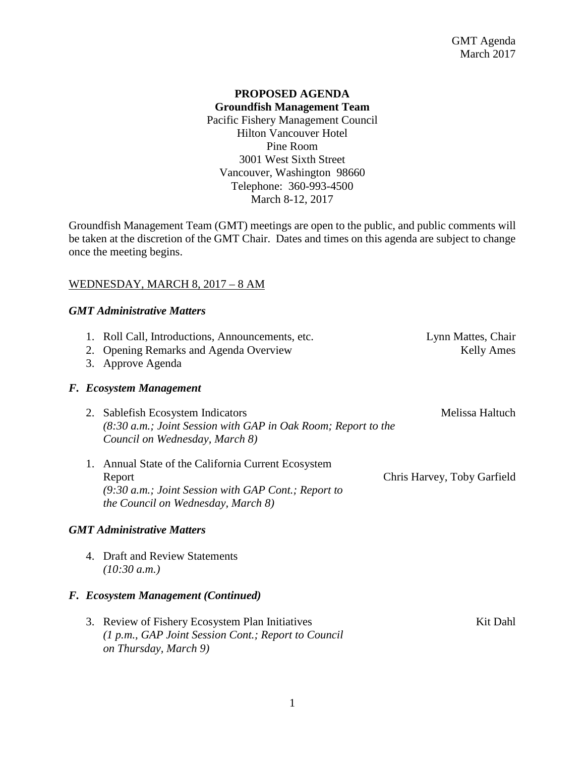## **PROPOSED AGENDA Groundfish Management Team** Pacific Fishery Management Council Hilton Vancouver Hotel Pine Room 3001 West Sixth Street Vancouver, Washington 98660 Telephone: 360-993-4500 March 8-12, 2017

Groundfish Management Team (GMT) meetings are open to the public, and public comments will be taken at the discretion of the GMT Chair. Dates and times on this agenda are subject to change once the meeting begins.

#### WEDNESDAY, MARCH 8, 2017 – 8 AM

#### *GMT Administrative Matters*

|                                   |  | 1. Roll Call, Introductions, Announcements, etc.<br>2. Opening Remarks and Agenda Overview<br>3. Approve Agenda                                                     | Lynn Mattes, Chair<br><b>Kelly Ames</b> |  |  |  |
|-----------------------------------|--|---------------------------------------------------------------------------------------------------------------------------------------------------------------------|-----------------------------------------|--|--|--|
|                                   |  | F. Ecosystem Management                                                                                                                                             |                                         |  |  |  |
|                                   |  | 2. Sablefish Ecosystem Indicators<br>(8:30 a.m.; Joint Session with GAP in Oak Room; Report to the<br>Council on Wednesday, March 8)                                | Melissa Haltuch                         |  |  |  |
|                                   |  | 1. Annual State of the California Current Ecosystem<br>Report<br>$(9:30 a.m.; Joint Session with GAP Cont.; Report to$<br><i>the Council on Wednesday, March 8)</i> | Chris Harvey, Toby Garfield             |  |  |  |
| <b>GMT Administrative Matters</b> |  |                                                                                                                                                                     |                                         |  |  |  |

4. Draft and Review Statements *(10:30 a.m.)*

#### *F. Ecosystem Management (Continued)*

3. Review of Fishery Ecosystem Plan Initiatives Kit Dahl *(1 p.m., GAP Joint Session Cont.; Report to Council on Thursday, March 9)*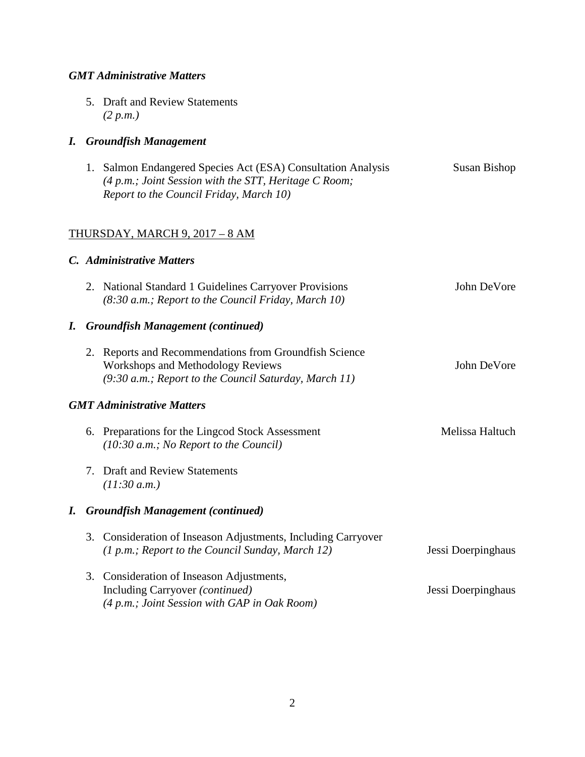# *GMT Administrative Matters*

5. Draft and Review Statements *(2 p.m.)*

# *I. Groundfish Management*

| 1. Salmon Endangered Species Act (ESA) Consultation Analysis | Susan Bishop |  |  |  |
|--------------------------------------------------------------|--------------|--|--|--|
| $(4 p.m.; Joint Session with the STT, Heritage C Room;$      |              |  |  |  |
| Report to the Council Friday, March 10)                      |              |  |  |  |

# THURSDAY, MARCH 9, 2017 – 8 AM

# *C. Administrative Matters*

|                                   |                                  | 2. National Standard 1 Guidelines Carryover Provisions<br>(8:30 a.m.; Report to the Council Friday, March 10)                                                 | John DeVore        |  |  |
|-----------------------------------|----------------------------------|---------------------------------------------------------------------------------------------------------------------------------------------------------------|--------------------|--|--|
| I.                                |                                  | <b>Groundfish Management (continued)</b>                                                                                                                      |                    |  |  |
|                                   |                                  | 2. Reports and Recommendations from Groundfish Science<br><b>Workshops and Methodology Reviews</b><br>$(9:30 a.m.;$ Report to the Council Saturday, March 11) | John DeVore        |  |  |
| <b>GMT Administrative Matters</b> |                                  |                                                                                                                                                               |                    |  |  |
|                                   |                                  | 6. Preparations for the Lingcod Stock Assessment<br>$(10:30 a.m.; No Report to the Council)$                                                                  | Melissa Haltuch    |  |  |
|                                   | $7_{\scriptscriptstyle{\ddots}}$ | <b>Draft and Review Statements</b><br>(11:30 a.m.)                                                                                                            |                    |  |  |
| I.                                |                                  | <b>Groundfish Management (continued)</b>                                                                                                                      |                    |  |  |
|                                   | 3.                               | Consideration of Inseason Adjustments, Including Carryover<br>(1 p.m.; Report to the Council Sunday, March 12)                                                | Jessi Doerpinghaus |  |  |
|                                   | 3.                               | Consideration of Inseason Adjustments,<br>Including Carryover (continued)<br>(4 p.m.; Joint Session with GAP in Oak Room)                                     | Jessi Doerpinghaus |  |  |